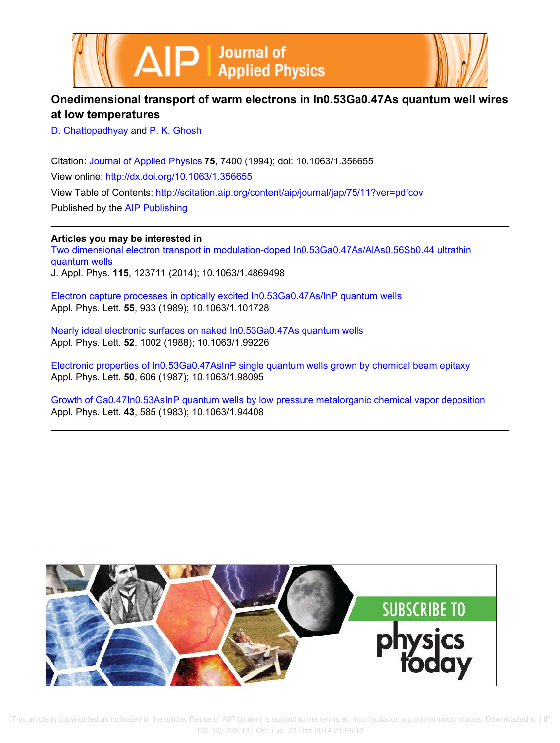



# **Onedimensional transport of warm electrons in In0.53Ga0.47As quantum well wires at low temperatures**

D. Chattopadhyay and P. K. Ghosh

Citation: Journal of Applied Physics **75**, 7400 (1994); doi: 10.1063/1.356655 View online: http://dx.doi.org/10.1063/1.356655 View Table of Contents: http://scitation.aip.org/content/aip/journal/jap/75/11?ver=pdfcov Published by the AIP Publishing

**Articles you may be interested in**

Two dimensional electron transport in modulation-doped In0.53Ga0.47As/AlAs0.56Sb0.44 ultrathin quantum wells J. Appl. Phys. **115**, 123711 (2014); 10.1063/1.4869498

Electron capture processes in optically excited In0.53Ga0.47As/InP quantum wells Appl. Phys. Lett. **55**, 933 (1989); 10.1063/1.101728

Nearly ideal electronic surfaces on naked In0.53Ga0.47As quantum wells Appl. Phys. Lett. **52**, 1002 (1988); 10.1063/1.99226

Electronic properties of In0.53Ga0.47AsInP single quantum wells grown by chemical beam epitaxy Appl. Phys. Lett. **50**, 606 (1987); 10.1063/1.98095

Growth of Ga0.47In0.53AsInP quantum wells by low pressure metalorganic chemical vapor deposition Appl. Phys. Lett. **43**, 585 (1983); 10.1063/1.94408



 [This article is copyrighted as indicated in the article. Reuse of AIP content is subject to the terms at: http://scitation.aip.org/termsconditions. Downloaded to ] IP: 136.165.238.131 On: Tue, 23 Dec 2014 21:56:10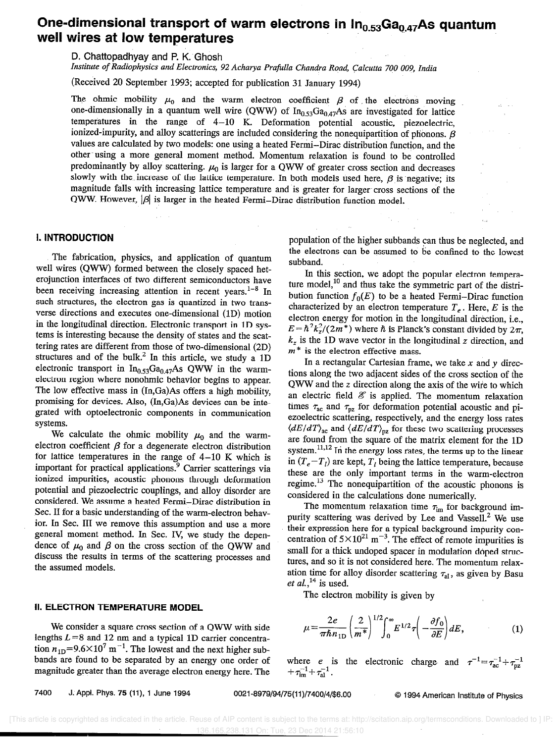# One-dimensional transport of warm electrons in  $In_{0.53}Ga_{0.47}As$  quantum well wires at low temperatures

D. Chattopadhyay and P. K. Ghosh

Institute of Radiophysics and Electronics, 92 Acharya Prafulla Chandra Road, Calcutta 700 009, India

(Received 20 September 1993; accepted for publication 31 January 1994)

The ohmic mobility  $\mu_0$  and the warm electron coefficient  $\beta$  of the electrons moving one-dimensionally in a quantum well wire (QWW) of  $In_{0.53}Ga_{0.47}As$  are investigated for lattice temperatures in the range of 4-10 K. Deformation potential acoustic, piezoelectric, ionized-impurity, and alloy scatterings are included considering the nonequipartition of phonons.  $\beta$ values are calculated by two models: one using a heated Fermi-Dirac distribution function, and the other using a more general moment method. Momentum relaxation is found to be controlled predominantly by alloy scattering.  $\mu_0$  is larger for a QWW of greater cross section and decreases slowly with the increase of the lattice temperature. In both models used here,  $\beta$  is negative; its magnitude falls with increasing lattice temperature and is greater for larger cross sections of the QWW. However,  $|\beta|$  is larger in the heated Fermi-Dirac distribution function model.

### I. INTRODUCTION

The fabrication, physics, and application of quantum well wires (QWW) formed between the closely spaced het-<br>erojunction interfaces of two different semiconductors have erojunction interfaces of two different semiconductors have been receiving increasing attention in recent years. In such structures, the electron gas is quantized in two transverse directions and executes one-dimensional (1D) motion in the longitudinal direction. Electronic transport in 1D systems is interesting because the density of states and the scat-<br>tering rates are different from those of two-dimensional (2D) tering rates are different from those of two-dimensional  $(2D)$ structures and of the bulk. In this article, we study a 1D electronic transport in  $In<sub>0.53</sub>Ga<sub>0.47</sub>As QWW$  in the warmelectron region where nonohmic behavior begins to appear. The low effective mass in  $(In,Ga)As$  offers a high mobility, promising for devices. Also,  $(In,Ga)As$  devices can be intepromising for devices. Also, (In,Ga)As devices can be integrated with optoelectronic components in communication systems.

We calculate the ohmic mobility  $\mu_0$  and the warmelectron coefficient  $\beta$  for a degenerate electron distribution for lattice temperatures in the range of 4-10 K which is important for practical applications.<sup>9</sup> Carrier scatterings via<br>ionized impurities, acoustic phonons through deformation potential and piezoelectric couplings, and alloy disorder are potential and piezoelectric couplings, and alloy disorder are considered. We assume a heated Fermi-Dirac distribution in Sec. II for a basic understanding of the warm-electron behavior. In Sec. III we remove this assumption and use a more general moment method. In Sec. IV, we study the dependence of  $\mu_0$  and  $\beta$  on the cross section of the QWW and discuss the results in terms of the scattering processes and the assumed models.

## II. ELECTRON TEMPERATURE MODEL

We consider a square cross section of a QWW with side<br>lengths  $L = 8$  and 12 nm and a typical 1D carrier concentralengths  $L = 8$  and 12 run and a typical 1D carrier concentration  $n_{1D}$  –  $\sim$  . The lowest and the next higher subbands are found to be separated by an energy one order of magnitude greater than the average electron energy here. The population of the higher subbands can thus be neglected, and the electrons can be assumed to be confined to the lowest subband.

In this section, we adopt the popular electron temperature model,<sup>10</sup> and thus take the symmetric part of the distribution function  $f_0(E)$  to be a heated Fermi-Dirac function characterized by an electron temperature  $T_e$ . Here, E is the electron energy for motion in the longitudinal direction, i.e.,  $E = \hbar^2 k_z^2/(2m^*)$  where  $\hbar$  is Planck's constant divided by  $2\pi$ ,  $k_z$  is the 1D wave vector in the longitudinal z direction, and  $m^*$  is the electron effective mass.

In a rectangular Cartesian frame, we take  $x$  and  $y$  directions along the two adjacent sides of the cross section of the QWW and the z direction along the axis of the wire to which an electric field  $\mathscr E$  is applied. The momentum relaxation times  $\tau_{ac}$  and  $\tau_{pz}$  for deformation potential acoustic and piezoelectric scattering, respectively, and the energy loss rates  $\langle dE/dT \rangle_{ac}$  and  $\langle dE/dT \rangle_{az}$  for these two scattering processes are found from the square of the matrix element for the 1D system. $^{11,12}$  In the energy loss rates, the terms up to the linear in  $(T_e - T_l)$  are kept,  $T_l$  being the lattice temperature, because these are the only important terms in the warm-electron regime.<sup>13</sup> The nonequipartition of the acoustic phonons is considered in the calculations done numerically.

The momentum relaxation time  $\tau_{\text{im}}$  for background impurity scattering was derived by Lee and Vassell.<sup>2</sup> We use their expression here for a typical background impurity concentration of  $5 \times 10^{21}$  m<sup>-3</sup>. The effect of remote impurities is small for a thick undoped spacer in modulation doped structures, and so it is not considered here. The momentum relaxation time for alloy disorder scattering  $\tau_{al}$ , as given by Basu et al.,  $^{14}$  is used.

The electron mobility is given by

$$
\mu = \frac{2e}{\pi \hbar n_{1D}} \left(\frac{2}{m^*}\right)^{1/2} \int_0^\infty E^{1/2} \tau \left(-\frac{\partial f_0}{\partial E}\right) dE, \tag{1}
$$

where e is the electronic charge and  $\tau^- = \tau_{ac}^- + \tau_{pz}^ +\tau_{\text{im}}+\tau$ 

7400 J. Appl. Phys. 75 (11), 1 June 1994 0021-8979/94/75(11)/7400/4/\$6.00 © 1994 American Institute of Physics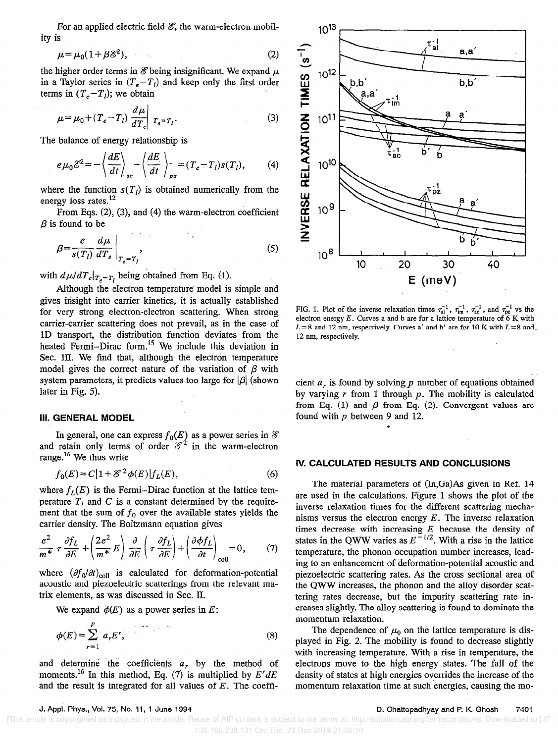For an applied electric field  $\mathcal{E}$ , the warm-electron mobility is

$$
\mu = \mu_0 (1 + \beta \mathcal{E}^2), \tag{2}
$$

the higher order terms in  $\mathscr E$  being insignificant. We expand  $\mu$ in a Taylor series in  $(T_e-T_i)$  and keep only the first order terms in  $(T_e-T_l)$ ; we obtain

$$
\mu = \mu_0 + (T_e - T_l) \frac{d\mu}{dT_e} \bigg| T_e = T_l. \tag{3}
$$

The balance of energy relationship is

$$
e\mu_0 \mathscr{E}^2 = -\left\langle \frac{dE}{dt} \right\rangle_{\text{ac}} - \left\langle \frac{dE}{dt} \right\rangle_{\text{pz}} = (T_e - T_l)s(T_l), \tag{4}
$$

where the function  $s(T_l)$  is obtained numerically from the energy loss rates. $^{12}$ 

From Eqs.  $(2)$ ,  $(3)$ , and  $(4)$  the warm-electron coefficient  $\beta$  is found to be

$$
\beta = \frac{e}{s(T_l)} \frac{d\mu}{dT_e} \bigg|_{T_e = T_l},
$$
\n(5)

with  $d\mu/dT_e|_{T_e=T_l}$  being obtained from Eq. (1).

Although the electron temperature model is simple and gives insight into carrier kinetics, it is actually established for very strong electron-electron scattering. When strong carrier-carrier scattering does not prevail, as in the case of 1D transport, the distribution function deviates from the heated Fermi-Dirac form.<sup>15</sup> We include this deviation in Sec. III. We find that, although the electron temperature model gives the correct nature of the variation of  $\beta$  with system parameters, it predicts values too large for  $|\beta|$  (shown later in Fig. 5).

### Ill. GENERAL MODEL

In general, one can express  $f_0(E)$  as a power series in  $\mathscr E$  and retain only terms of order  $\mathscr E^2$  in the warm-electron range.<sup>16</sup> We thus write

$$
f_0(E) = C\left[1 + \mathcal{E}^2 \phi(E)\right] f_L(E),\tag{6}
$$

where  $f_L(E)$  is the Fermi-Dirac function at the lattice temperature  $T_l$  and C is a constant determined by the requirement that the sum of  $f_0$  over the available states yields the carrier density. The Boltzmann equation gives

$$
\frac{e^2}{m^*} \tau \frac{\partial f_L}{\partial E} + \left(\frac{2e^2}{m^*} E\right) \frac{\partial}{\partial E} \left(\tau \frac{\partial f_L}{\partial E}\right) + \left(\frac{\partial \phi f_L}{\partial t}\right)_{\text{coll}} = 0, \qquad (7)
$$

where  $(\partial f_0/\partial t)_{\text{coll}}$  is calculated for deformation-potential acoustic and piezoelectric scatterings from the relevant matrix elements, as was discussed in Sec. II.

We expand  $\phi(E)$  as a power series in E:

$$
\phi(E) = \sum_{r=1}^{P} a_r E^r, \tag{8}
$$

and determine the coefficients  $a_r$  by the method of moments.<sup>16</sup> In this method, Eq. (7) is multiplied by  $E^{r}dE$ and the result is integrated for all values of  $E$ . The coeffi-



FIG. 1. Plot of the inverse relaxation times  $\tau_{al}^{-1}$ ,  $\tau_{im}^{-1}$ ,  $\tau_{ac}^{-1}$ , and  $\tau_{nz}^{-1}$  vs the electron energy  $E$ . Curves a and b are for a lattice temperature of  $6 K$  with  $L = 8$  and 12 nm, respectively. Curves a' and b' are for 10 K with  $L = 8$  and 12 nm, respectively.

cient  $a_r$  is found by solving p number of equations obtained by varying  $r$  from 1 through  $p$ . The mobility is calculated from Eq. (1) and  $\beta$  from Eq. (2). Convergent values are found with p between 9 and 12.

#### IV. CALCULATED RESULTS AND CONCLUSIONS

The material parameters of (In,Ga)As given in Ref. 14 are used in the calculations. Figure 1 shows the plot of the inverse relaxation times for the different scattering mechanisms versus the electron energy  $E$ . The inverse relaxation times decrease with increasing  $E$  because the density of states in the QWW varies as  $E^{-1/2}$ . With a rise in the lattice temperature, the phonon occupation number increases, leading to an enhancement of deformation-potential acoustic and piezoelectric scattering rates. As the cross sectional area of the QWW increases, the phonon and the alloy disorder scattering rates decrease, but the impurity scattering rate increases slightly. The alloy scattering is found to dominate the momentum telaxation.

The dependence of  $\mu_0$  on the lattice temperature is displayed in Fig. 2. The mobility is found to decrease slightly with increasing temperature. With a rise in temperature, the electrons move to the high energy states. The fall of the density of states at high energies overrides the increase of the momentum relaxation time at such energies, causing the mo:

 [This article is copyrighted as indicated in the article. Reuse of AIP content is subject to the terms at: http://scitation.aip.org/termsconditions. Downloaded to ] IP: 136.165.238.131 On: Tue, 23 Dec 2014 21:56:10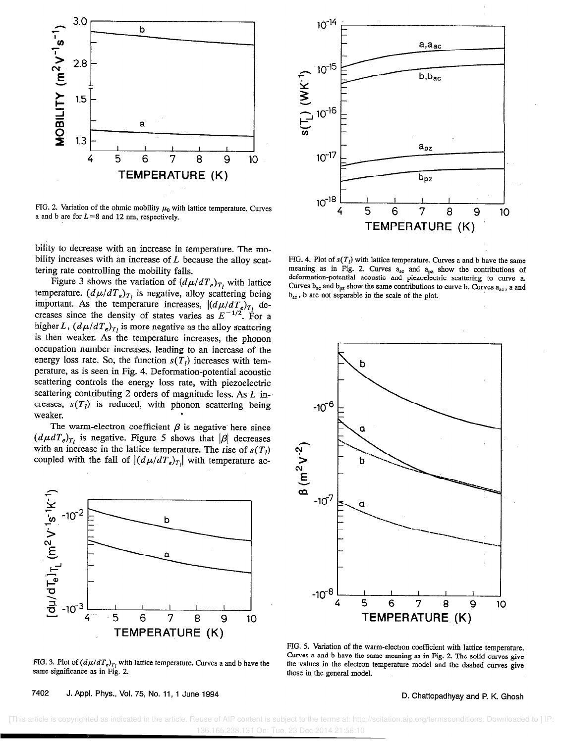

FIG. 2. Variation of the ohmic mobility  $\mu_0$  with lattice temperature. Curves a and b are for  $L=8$  and 12 nm, respectively.

bility to decrease with an increase in temperature. The mobility increases with an increase of  $L$  because the alloy scattering rate controlling the mobility falls.

Figure 3 shows the variation of  $(d\mu/dT_e)_{T_l}$  with lattice temperature.  $(d\mu/dT_e)_{T_t}$  is negative, alloy scattering being important. As the temperature increases,  $\left| \frac{d\mu}{dT_e} \right|_{T_1}$  decreases since the density of states varies as  $E^{-1/2}$ . For a higher L,  $(d\mu/dT_e)_{T_i}$  is more negative as the alloy scattering is then weaker. As the temperature increases, the phonon occupation number increases, leading to an increase of the energy loss rate. So, the function  $s(T)$  increases with temperature, as is seen in Fig. 4. Deformation-potential acoustic scattering controls the energy loss rate, with piezoelectric scattering contributing 2 orders of magnitude less. As L increases,  $s(T_i)$  is reduced, with phonon scattering being weaker.

The warm-electron coefficient  $\beta$  is negative here since  $(d\mu dT_e)_{T_i}$  is negative. Figure 5 shows that  $|\beta|$  decreases with an increase in the lattice temperature. The rise of  $s(T<sub>1</sub>)$ coupled with the fall of  $|(d\mu/dT_e)_{T_i}|$  with temperature ac-



FIG. 3. Plot of  $(d\mu/dT_e)_{T_e}$  with lattice temperature. Curves a and b have the same significance as in Fig. 2.

7402 J. Appl. Phys., Vol. 75, No. 11, 1 June 1994 **0. Chattopadhyay and P. K. Ghosh** 



FIG. 4. Plot of  $s(T_i)$  with lattice temperature. Curves a and b have the same meaning as in Fig. 2. Curves  $a_{ac}$  and  $a_{pz}$  show the contributions of deformation-potential acoustic and piezoelectric scattering to curve a. Curves  $b_{ac}$  and  $b_{px}$  show the same contributions to curve b. Curves  $a_{ac}$ , a and  $b_{ac}$ , b are not separable in the scale of the plot.



FIG, 5. Variation of the warm-electron coefficient with lattice temperature. Curves a and b have the same meaning as in Fig. 2. The solid curves give the values in the electron temperature model and the dashed curves give those in the general model.

 [This article is copyrighted as indicated in the article. Reuse of AIP content is subject to the terms at: http://scitation.aip.org/termsconditions. Downloaded to ] IP: 136.165.238.131 On: Tue, 23 Dec 2014 21:56:10